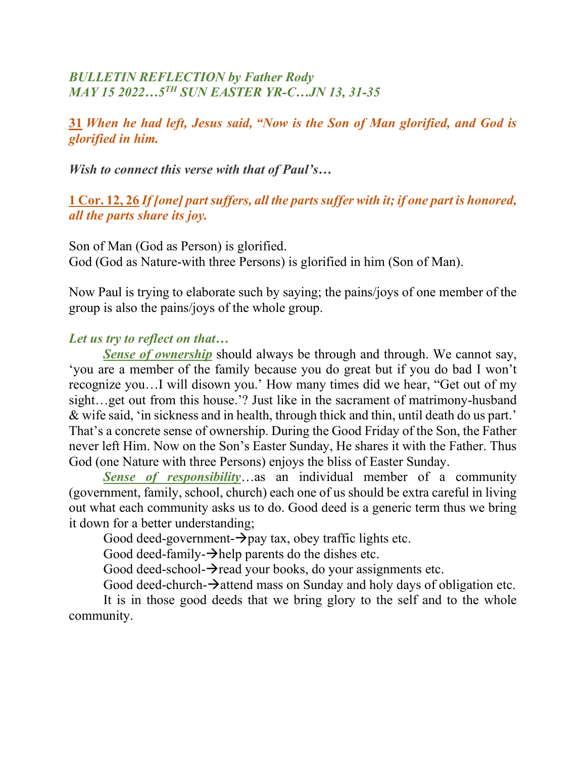# *BULLETIN REFLECTION by Father Rody MAY 15 2022…5TH SUN EASTER YR-C…JN 13, 31-35*

**31** *When he had left, Jesus said, "Now is the Son of Man glorified, and God is glorified in him.*

*Wish to connect this verse with that of Paul's…*

**1 Cor. 12, 26** *If [one] partsuffers, all the parts suffer with it; if one part is honored, all the parts share its joy.*

Son of Man (God as Person) is glorified. God (God as Nature-with three Persons) is glorified in him (Son of Man).

Now Paul is trying to elaborate such by saying; the pains/joys of one member of the group is also the pains/joys of the whole group.

## *Let us try to reflect on that…*

*Sense of ownership* should always be through and through. We cannot say, 'you are a member of the family because you do great but if you do bad I won't recognize you…I will disown you.' How many times did we hear, "Get out of my sight…get out from this house.'? Just like in the sacrament of matrimony-husband & wife said, 'in sickness and in health, through thick and thin, until death do us part.' That's a concrete sense of ownership. During the Good Friday of the Son, the Father never left Him. Now on the Son's Easter Sunday, He shares it with the Father. Thus God (one Nature with three Persons) enjoys the bliss of Easter Sunday.

*Sense of responsibility*…as an individual member of a community (government, family, school, church) each one of us should be extra careful in living out what each community asks us to do. Good deed is a generic term thus we bring it down for a better understanding;

Good deed-government- $\rightarrow$ pay tax, obey traffic lights etc.

Good deed-family- $\rightarrow$ help parents do the dishes etc.

Good deed-school- $\rightarrow$ read your books, do your assignments etc.

Good deed-church- $\rightarrow$  attend mass on Sunday and holy days of obligation etc.

It is in those good deeds that we bring glory to the self and to the whole community.